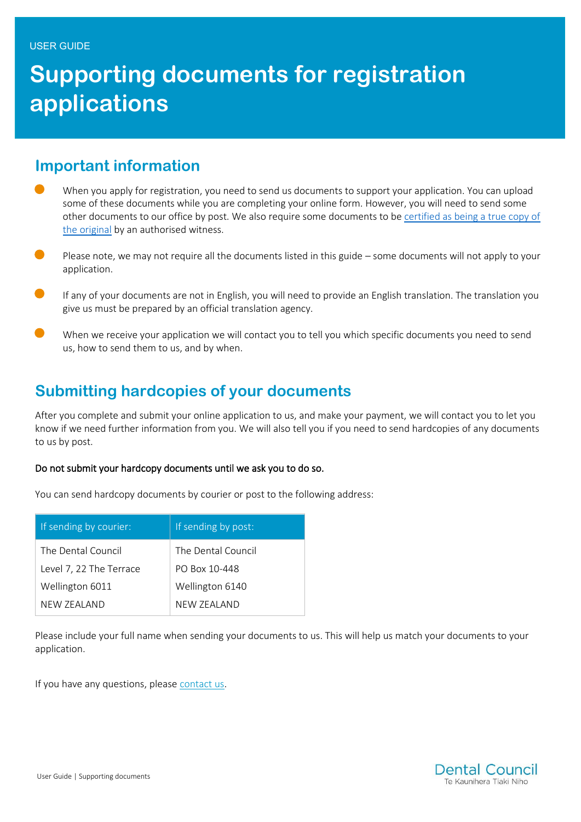# **Supporting documents for registration applications**

#### **Important information**

- When you apply for registration, you need to send us documents to support your application. You can upload some of these documents while you are completing your online form. However, you will need to send some other documents to our office by post. We also require some documents to be certified as being a true copy of [the original](http://www.dcnz.org.nz/assets/Uploads/Online-services/Identification-verification-information-sheet.pdf) by an authorised witness.
- Please note, we may not require all the documents listed in this guide some documents will not apply to your application.
- If any of your documents are not in English, you will need to provide an English translation. The translation you give us must be prepared by an official translation agency.
- When we receive your application we will contact you to tell you which specific documents you need to send us, how to send them to us, and by when.

## **Submitting hardcopies of your documents**

After you complete and submit your online application to us, and make your payment, we will contact you to let you know if we need further information from you. We will also tell you if you need to send hardcopies of any documents to us by post.

#### Do not submit your hardcopy documents until we ask you to do so.

You can send hardcopy documents by courier or post to the following address:

| If sending by courier:  | If sending by post: |
|-------------------------|---------------------|
| The Dental Council      | The Dental Council  |
| Level 7, 22 The Terrace | PO Box 10-448       |
| Wellington 6011         | Wellington 6140     |
| NFW 7FAI AND            | NFW 7FAI AND        |

Please include your full name when sending your documents to us. This will help us match your documents to your application.

If you have any questions, please [contact us.](mailto:inquiries@dcnz.org.nz)

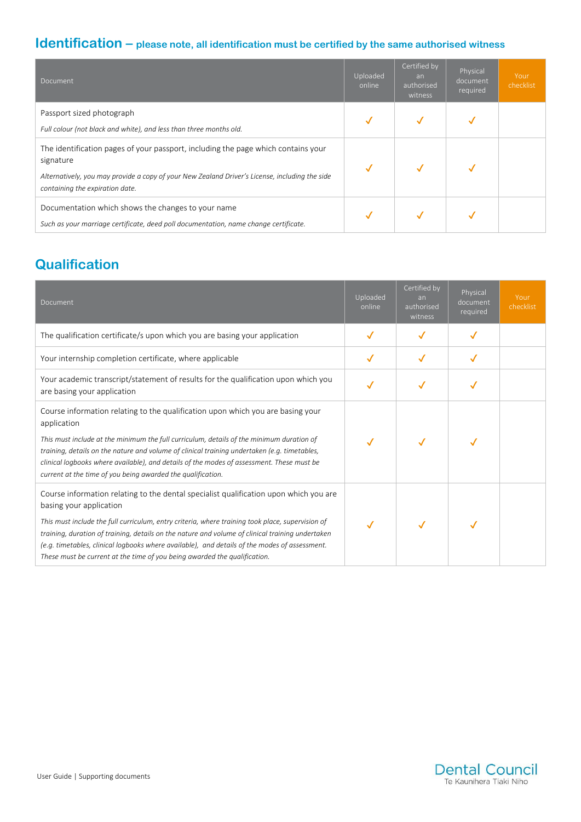#### **Identification – please note, all identification must be certified by the same authorised witness**

| Document                                                                                                                                                                                                                            | Uploaded<br>online | Certified by<br>an<br>authorised<br>witness | Physical<br>document<br>required | Your<br>checklist |
|-------------------------------------------------------------------------------------------------------------------------------------------------------------------------------------------------------------------------------------|--------------------|---------------------------------------------|----------------------------------|-------------------|
| Passport sized photograph<br>Full colour (not black and white), and less than three months old.                                                                                                                                     |                    |                                             |                                  |                   |
| The identification pages of your passport, including the page which contains your<br>signature<br>Alternatively, you may provide a copy of your New Zealand Driver's License, including the side<br>containing the expiration date. |                    |                                             |                                  |                   |
| Documentation which shows the changes to your name<br>Such as your marriage certificate, deed poll documentation, name change certificate.                                                                                          |                    |                                             |                                  |                   |

#### **Qualification**

| Document                                                                                                                                                                                                                                                                                                                                                                                                                                                                                               | Uploaded<br>online | Certified by<br>an<br>authorised<br>witness | Physical<br>document<br>required | Your<br>checklist |
|--------------------------------------------------------------------------------------------------------------------------------------------------------------------------------------------------------------------------------------------------------------------------------------------------------------------------------------------------------------------------------------------------------------------------------------------------------------------------------------------------------|--------------------|---------------------------------------------|----------------------------------|-------------------|
| The qualification certificate/s upon which you are basing your application                                                                                                                                                                                                                                                                                                                                                                                                                             |                    | ✓                                           | ✓                                |                   |
| Your internship completion certificate, where applicable                                                                                                                                                                                                                                                                                                                                                                                                                                               |                    | √                                           | ✓                                |                   |
| Your academic transcript/statement of results for the qualification upon which you<br>are basing your application                                                                                                                                                                                                                                                                                                                                                                                      |                    |                                             |                                  |                   |
| Course information relating to the qualification upon which you are basing your<br>application<br>This must include at the minimum the full curriculum, details of the minimum duration of<br>training, details on the nature and volume of clinical training undertaken (e.g. timetables,<br>clinical logbooks where available), and details of the modes of assessment. These must be<br>current at the time of you being awarded the qualification.                                                 |                    |                                             |                                  |                   |
| Course information relating to the dental specialist qualification upon which you are<br>basing your application<br>This must include the full curriculum, entry criteria, where training took place, supervision of<br>training, duration of training, details on the nature and volume of clinical training undertaken<br>(e.g. timetables, clinical logbooks where available), and details of the modes of assessment.<br>These must be current at the time of you being awarded the qualification. |                    |                                             |                                  |                   |

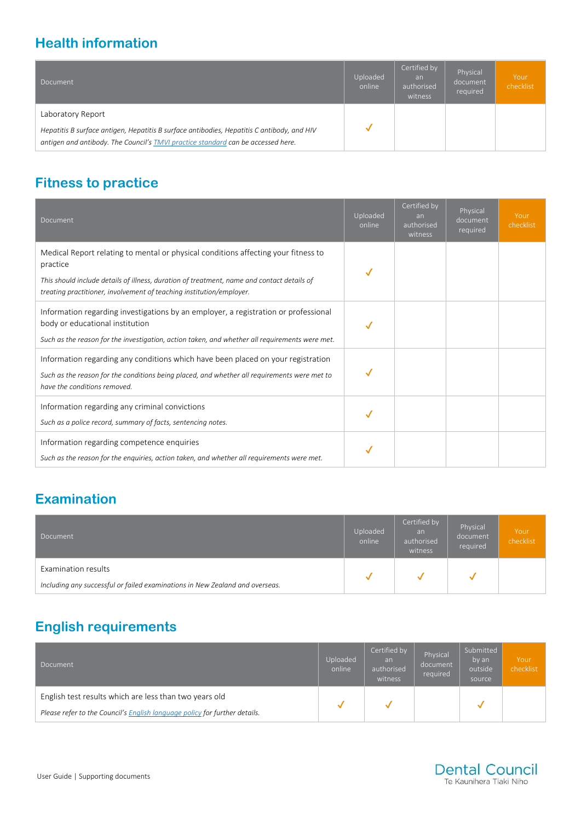# **Health information**

| Document                                                                                                                                                                                            | Uploaded<br>online | Certified by<br>an<br>authorised<br>witness | Physical<br>document<br>required | Your<br>checklist |
|-----------------------------------------------------------------------------------------------------------------------------------------------------------------------------------------------------|--------------------|---------------------------------------------|----------------------------------|-------------------|
| Laboratory Report<br>Hepatitis B surface antigen, Hepatitis B surface antibodies, Hepatitis C antibody, and HIV<br>antigen and antibody. The Council's TMVI practice standard can be accessed here. |                    |                                             |                                  |                   |

#### **Fitness to practice**

| Document                                                                                                                                                                                                                                                             | Uploaded<br>online | Certified by<br>an<br>authorised<br>witness | Physical<br>document<br>required | Your<br>checklist |
|----------------------------------------------------------------------------------------------------------------------------------------------------------------------------------------------------------------------------------------------------------------------|--------------------|---------------------------------------------|----------------------------------|-------------------|
| Medical Report relating to mental or physical conditions affecting your fitness to<br>practice<br>This should include details of illness, duration of treatment, name and contact details of<br>treating practitioner, involvement of teaching institution/employer. |                    |                                             |                                  |                   |
| Information regarding investigations by an employer, a registration or professional<br>body or educational institution<br>Such as the reason for the investigation, action taken, and whether all requirements were met.                                             |                    |                                             |                                  |                   |
| Information regarding any conditions which have been placed on your registration<br>Such as the reason for the conditions being placed, and whether all requirements were met to<br>have the conditions removed.                                                     |                    |                                             |                                  |                   |
| Information regarding any criminal convictions<br>Such as a police record, summary of facts, sentencing notes.                                                                                                                                                       |                    |                                             |                                  |                   |
| Information regarding competence enquiries<br>Such as the reason for the enquiries, action taken, and whether all requirements were met.                                                                                                                             |                    |                                             |                                  |                   |

# **Examination**

| Document                                                                     | Uploaded<br>online | Certified by<br>an<br>authorised<br>witness | Physical<br>document<br>required | Your<br>checklist |
|------------------------------------------------------------------------------|--------------------|---------------------------------------------|----------------------------------|-------------------|
| Examination results                                                          |                    |                                             |                                  |                   |
| Including any successful or failed examinations in New Zealand and overseas. |                    |                                             |                                  |                   |

## **English requirements**

| Document                                                                   | Uploaded<br>online | Certified by<br>an<br>authorised<br>witness | Physical<br>document<br>required | Submitted<br>by an<br>outside<br>source | Your<br>checklist |
|----------------------------------------------------------------------------|--------------------|---------------------------------------------|----------------------------------|-----------------------------------------|-------------------|
| English test results which are less than two years old                     |                    |                                             |                                  |                                         |                   |
| Please refer to the Council's English language policy for further details. |                    |                                             |                                  |                                         |                   |

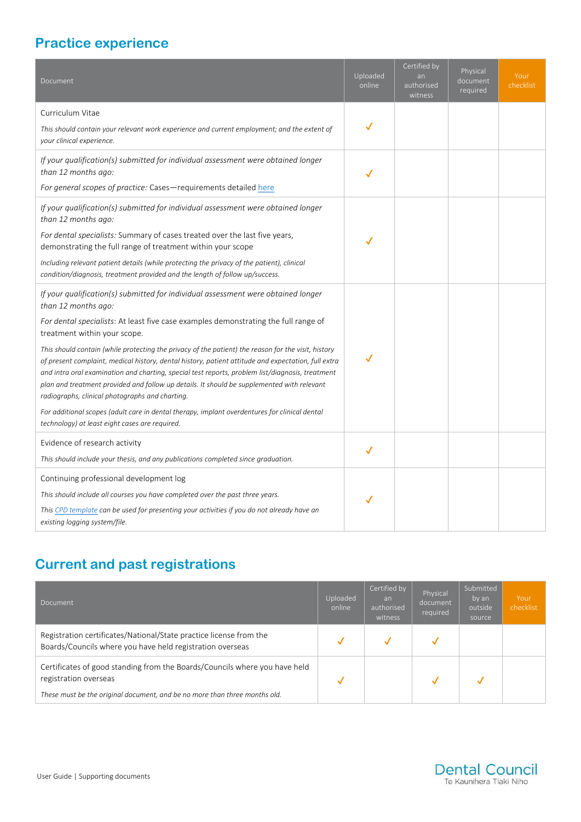# **Practice experience**

| Document                                                                                                                                                                                                                                                                                                                                                                                                                                                        | Uploaded<br>online | Certified by<br>an<br>authorised<br>witness | Physical<br>document<br>required | Your<br>checklist |
|-----------------------------------------------------------------------------------------------------------------------------------------------------------------------------------------------------------------------------------------------------------------------------------------------------------------------------------------------------------------------------------------------------------------------------------------------------------------|--------------------|---------------------------------------------|----------------------------------|-------------------|
| Curriculum Vitae                                                                                                                                                                                                                                                                                                                                                                                                                                                |                    |                                             |                                  |                   |
| This should contain your relevant work experience and current employment; and the extent of<br>your clinical experience.                                                                                                                                                                                                                                                                                                                                        | ✓                  |                                             |                                  |                   |
| If your qualification(s) submitted for individual assessment were obtained longer<br>than 12 months ago:                                                                                                                                                                                                                                                                                                                                                        |                    |                                             |                                  |                   |
| For general scopes of practice: Cases-requirements detailed here                                                                                                                                                                                                                                                                                                                                                                                                |                    |                                             |                                  |                   |
| If your qualification(s) submitted for individual assessment were obtained longer<br>than 12 months ago:                                                                                                                                                                                                                                                                                                                                                        |                    |                                             |                                  |                   |
| For dental specialists: Summary of cases treated over the last five years,<br>demonstrating the full range of treatment within your scope                                                                                                                                                                                                                                                                                                                       | ✓                  |                                             |                                  |                   |
| Including relevant patient details (while protecting the privacy of the patient), clinical<br>condition/diagnosis, treatment provided and the length of follow up/success.                                                                                                                                                                                                                                                                                      |                    |                                             |                                  |                   |
| If your qualification(s) submitted for individual assessment were obtained longer<br>than 12 months ago:                                                                                                                                                                                                                                                                                                                                                        |                    |                                             |                                  |                   |
| For dental specialists: At least five case examples demonstrating the full range of<br>treatment within your scope.                                                                                                                                                                                                                                                                                                                                             |                    |                                             |                                  |                   |
| This should contain (while protecting the privacy of the patient) the reason for the visit, history<br>of present complaint, medical history, dental history, patient attitude and expectation, full extra<br>and intra oral examination and charting, special test reports, problem list/diagnosis, treatment<br>plan and treatment provided and follow up details. It should be supplemented with relevant<br>radiographs, clinical photographs and charting. | ✓                  |                                             |                                  |                   |
| For additional scopes (adult care in dental therapy, implant overdentures for clinical dental<br>technology) at least eight cases are required.                                                                                                                                                                                                                                                                                                                 |                    |                                             |                                  |                   |
| Evidence of research activity                                                                                                                                                                                                                                                                                                                                                                                                                                   |                    |                                             |                                  |                   |
| This should include your thesis, and any publications completed since graduation.                                                                                                                                                                                                                                                                                                                                                                               |                    |                                             |                                  |                   |
| Continuing professional development log                                                                                                                                                                                                                                                                                                                                                                                                                         |                    |                                             |                                  |                   |
| This should include all courses you have completed over the past three years.                                                                                                                                                                                                                                                                                                                                                                                   |                    |                                             |                                  |                   |
| This CPD template can be used for presenting your activities if you do not already have an<br>existing logging system/file.                                                                                                                                                                                                                                                                                                                                     |                    |                                             |                                  |                   |
|                                                                                                                                                                                                                                                                                                                                                                                                                                                                 |                    |                                             |                                  |                   |

# **Current and past registrations**

| Document                                                                                                                                                                          | Uploaded<br>online | Certified by<br>an<br>authorised<br>witness | Physical<br>document<br>required | Submitted<br>by an<br>outside<br>source | Your<br>checklist |
|-----------------------------------------------------------------------------------------------------------------------------------------------------------------------------------|--------------------|---------------------------------------------|----------------------------------|-----------------------------------------|-------------------|
| Registration certificates/National/State practice license from the<br>Boards/Councils where you have held registration overseas                                                   |                    |                                             |                                  |                                         |                   |
| Certificates of good standing from the Boards/Councils where you have held<br>registration overseas<br>These must be the original document, and be no more than three months old. |                    |                                             |                                  |                                         |                   |